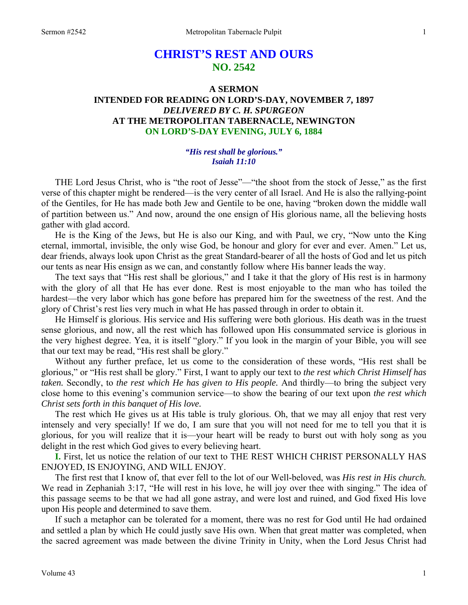# **CHRIST'S REST AND OURS NO. 2542**

## **A SERMON INTENDED FOR READING ON LORD'S-DAY, NOVEMBER** *7***, 1897**  *DELIVERED BY C. H. SPURGEON*  **AT THE METROPOLITAN TABERNACLE, NEWINGTON ON LORD'S-DAY EVENING, JULY 6, 1884**

## *"His rest shall be glorious." Isaiah 11:10*

THE Lord Jesus Christ, who is "the root of Jesse"—"the shoot from the stock of Jesse," as the first verse of this chapter might be rendered—is the very center of all Israel. And He is also the rallying-point of the Gentiles, for He has made both Jew and Gentile to be one, having "broken down the middle wall of partition between us." And now, around the one ensign of His glorious name, all the believing hosts gather with glad accord.

 He is the King of the Jews, but He is also our King, and with Paul, we cry, "Now unto the King eternal, immortal, invisible, the only wise God, be honour and glory for ever and ever. Amen." Let us, dear friends, always look upon Christ as the great Standard-bearer of all the hosts of God and let us pitch our tents as near His ensign as we can, and constantly follow where His banner leads the way.

 The text says that "His rest shall be glorious," and I take it that the glory of His rest is in harmony with the glory of all that He has ever done. Rest is most enjoyable to the man who has toiled the hardest—the very labor which has gone before has prepared him for the sweetness of the rest. And the glory of Christ's rest lies very much in what He has passed through in order to obtain it.

 He Himself is glorious. His service and His suffering were both glorious. His death was in the truest sense glorious, and now, all the rest which has followed upon His consummated service is glorious in the very highest degree. Yea, it is itself "glory." If you look in the margin of your Bible, you will see that our text may be read, "His rest shall be glory."

 Without any further preface, let us come to the consideration of these words, "His rest shall be glorious," or "His rest shall be glory." First, I want to apply our text to *the rest which Christ Himself has taken.* Secondly, to *the rest which He has given to His people.* And thirdly—to bring the subject very close home to this evening's communion service—to show the bearing of our text upon *the rest which Christ sets forth in this banquet of His love.* 

The rest which He gives us at His table is truly glorious. Oh, that we may all enjoy that rest very intensely and very specially! If we do, I am sure that you will not need for me to tell you that it is glorious, for you will realize that it is—your heart will be ready to burst out with holy song as you delight in the rest which God gives to every believing heart.

**I.** First, let us notice the relation of our text to THE REST WHICH CHRIST PERSONALLY HAS ENJOYED, IS ENJOYING, AND WILL ENJOY.

 The first rest that I know of, that ever fell to the lot of our Well-beloved, was *His rest in His church.*  We read in Zephaniah 3:17, "He will rest in his love, he will joy over thee with singing." The idea of this passage seems to be that we had all gone astray, and were lost and ruined, and God fixed His love upon His people and determined to save them.

 If such a metaphor can be tolerated for a moment, there was no rest for God until He had ordained and settled a plan by which He could justly save His own. When that great matter was completed, when the sacred agreement was made between the divine Trinity in Unity, when the Lord Jesus Christ had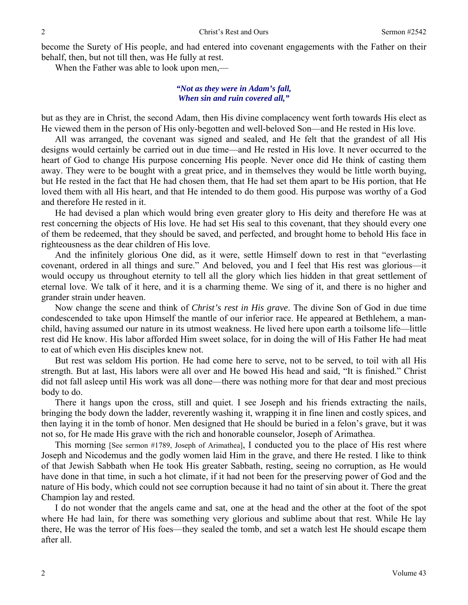become the Surety of His people, and had entered into covenant engagements with the Father on their behalf, then, but not till then, was He fully at rest.

When the Father was able to look upon men,—

## *"Not as they were in Adam's fall, When sin and ruin covered all,"*

but as they are in Christ, the second Adam, then His divine complacency went forth towards His elect as He viewed them in the person of His only-begotten and well-beloved Son—and He rested in His love.

 All was arranged, the covenant was signed and sealed, and He felt that the grandest of all His designs would certainly be carried out in due time—and He rested in His love. It never occurred to the heart of God to change His purpose concerning His people. Never once did He think of casting them away. They were to be bought with a great price, and in themselves they would be little worth buying, but He rested in the fact that He had chosen them, that He had set them apart to be His portion, that He loved them with all His heart, and that He intended to do them good. His purpose was worthy of a God and therefore He rested in it.

 He had devised a plan which would bring even greater glory to His deity and therefore He was at rest concerning the objects of His love. He had set His seal to this covenant, that they should every one of them be redeemed, that they should be saved, and perfected, and brought home to behold His face in righteousness as the dear children of His love.

 And the infinitely glorious One did, as it were, settle Himself down to rest in that "everlasting covenant, ordered in all things and sure." And beloved, you and I feel that His rest was glorious—it would occupy us throughout eternity to tell all the glory which lies hidden in that great settlement of eternal love. We talk of it here, and it is a charming theme. We sing of it, and there is no higher and grander strain under heaven.

 Now change the scene and think of *Christ's rest in His grave*. The divine Son of God in due time condescended to take upon Himself the mantle of our inferior race. He appeared at Bethlehem, a manchild, having assumed our nature in its utmost weakness. He lived here upon earth a toilsome life—little rest did He know. His labor afforded Him sweet solace, for in doing the will of His Father He had meat to eat of which even His disciples knew not.

 But rest was seldom His portion. He had come here to serve, not to be served, to toil with all His strength. But at last, His labors were all over and He bowed His head and said, "It is finished." Christ did not fall asleep until His work was all done—there was nothing more for that dear and most precious body to do.

 There it hangs upon the cross, still and quiet. I see Joseph and his friends extracting the nails, bringing the body down the ladder, reverently washing it, wrapping it in fine linen and costly spices, and then laying it in the tomb of honor. Men designed that He should be buried in a felon's grave, but it was not so, for He made His grave with the rich and honorable counselor, Joseph of Arimathea.

 This morning [See sermon #1789, Joseph of Arimathea], I conducted you to the place of His rest where Joseph and Nicodemus and the godly women laid Him in the grave, and there He rested. I like to think of that Jewish Sabbath when He took His greater Sabbath, resting, seeing no corruption, as He would have done in that time, in such a hot climate, if it had not been for the preserving power of God and the nature of His body, which could not see corruption because it had no taint of sin about it. There the great Champion lay and rested.

 I do not wonder that the angels came and sat, one at the head and the other at the foot of the spot where He had lain, for there was something very glorious and sublime about that rest. While He lay there, He was the terror of His foes—they sealed the tomb, and set a watch lest He should escape them after all.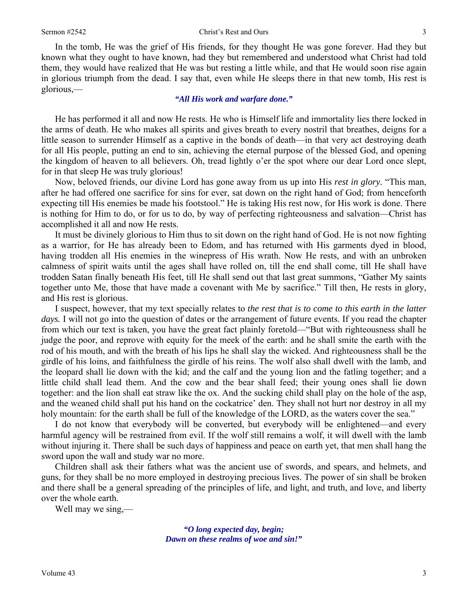In the tomb, He was the grief of His friends, for they thought He was gone forever. Had they but known what they ought to have known, had they but remembered and understood what Christ had told them, they would have realized that He was but resting a little while, and that He would soon rise again in glorious triumph from the dead. I say that, even while He sleeps there in that new tomb, His rest is glorious,—

#### *"All His work and warfare done."*

 He has performed it all and now He rests. He who is Himself life and immortality lies there locked in the arms of death. He who makes all spirits and gives breath to every nostril that breathes, deigns for a little season to surrender Himself as a captive in the bonds of death—in that very act destroying death for all His people, putting an end to sin, achieving the eternal purpose of the blessed God, and opening the kingdom of heaven to all believers. Oh, tread lightly o'er the spot where our dear Lord once slept, for in that sleep He was truly glorious!

 Now, beloved friends, our divine Lord has gone away from us up into His *rest in glory.* "This man, after he had offered one sacrifice for sins for ever, sat down on the right hand of God; from henceforth expecting till His enemies be made his footstool." He is taking His rest now, for His work is done. There is nothing for Him to do, or for us to do, by way of perfecting righteousness and salvation—Christ has accomplished it all and now He rests.

 It must be divinely glorious to Him thus to sit down on the right hand of God. He is not now fighting as a warrior, for He has already been to Edom, and has returned with His garments dyed in blood, having trodden all His enemies in the winepress of His wrath. Now He rests, and with an unbroken calmness of spirit waits until the ages shall have rolled on, till the end shall come, till He shall have trodden Satan finally beneath His feet, till He shall send out that last great summons, "Gather My saints together unto Me, those that have made a covenant with Me by sacrifice." Till then, He rests in glory, and His rest is glorious.

 I suspect, however, that my text specially relates to *the rest that is to come to this earth in the latter days.* I will not go into the question of dates or the arrangement of future events. If you read the chapter from which our text is taken, you have the great fact plainly foretold—"But with righteousness shall he judge the poor, and reprove with equity for the meek of the earth: and he shall smite the earth with the rod of his mouth, and with the breath of his lips he shall slay the wicked. And righteousness shall be the girdle of his loins, and faithfulness the girdle of his reins. The wolf also shall dwell with the lamb, and the leopard shall lie down with the kid; and the calf and the young lion and the fatling together; and a little child shall lead them. And the cow and the bear shall feed; their young ones shall lie down together: and the lion shall eat straw like the ox. And the sucking child shall play on the hole of the asp, and the weaned child shall put his hand on the cockatrice' den. They shall not hurt nor destroy in all my holy mountain: for the earth shall be full of the knowledge of the LORD, as the waters cover the sea."

 I do not know that everybody will be converted, but everybody will be enlightened—and every harmful agency will be restrained from evil. If the wolf still remains a wolf, it will dwell with the lamb without injuring it. There shall be such days of happiness and peace on earth yet, that men shall hang the sword upon the wall and study war no more.

 Children shall ask their fathers what was the ancient use of swords, and spears, and helmets, and guns, for they shall be no more employed in destroying precious lives. The power of sin shall be broken and there shall be a general spreading of the principles of life, and light, and truth, and love, and liberty over the whole earth.

Well may we sing,—

*"O long expected day, begin; Dawn on these realms of woe and sin!"*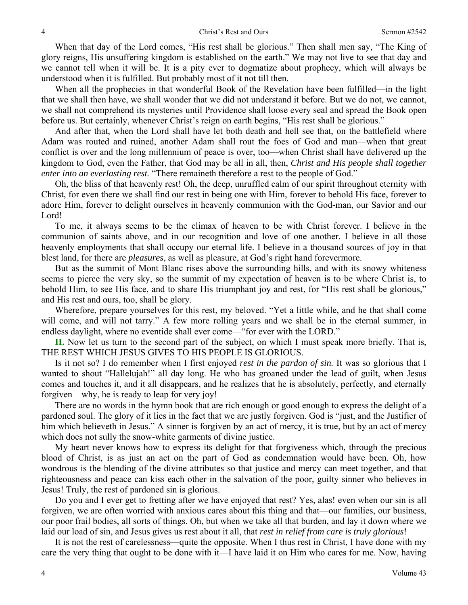When that day of the Lord comes, "His rest shall be glorious." Then shall men say, "The King of glory reigns, His unsuffering kingdom is established on the earth." We may not live to see that day and we cannot tell when it will be. It is a pity ever to dogmatize about prophecy, which will always be understood when it is fulfilled. But probably most of it not till then.

When all the prophecies in that wonderful Book of the Revelation have been fulfilled—in the light that we shall then have, we shall wonder that we did not understand it before. But we do not, we cannot, we shall not comprehend its mysteries until Providence shall loose every seal and spread the Book open before us. But certainly, whenever Christ's reign on earth begins, "His rest shall be glorious."

 And after that, when the Lord shall have let both death and hell see that, on the battlefield where Adam was routed and ruined, another Adam shall rout the foes of God and man—when that great conflict is over and the long millennium of peace is over, too—when Christ shall have delivered up the kingdom to God, even the Father, that God may be all in all, then, *Christ and His people shall together enter into an everlasting rest.* "There remaineth therefore a rest to the people of God."

 Oh*,* the bliss of that heavenly rest! Oh, the deep, unruffled calm of our spirit throughout eternity with Christ, for even there we shall find our rest in being one with Him, forever to behold His face, forever to adore Him, forever to delight ourselves in heavenly communion with the God-man, our Savior and our Lord!

 To me, it always seems to be the climax of heaven to be with Christ forever. I believe in the communion of saints above, and in our recognition and love of one another. I believe in all those heavenly employments that shall occupy our eternal life. I believe in a thousand sources of joy in that blest land, for there are *pleasures*, as well as pleasure, at God's right hand forevermore.

 But as the summit of Mont Blanc rises above the surrounding hills, and with its snowy whiteness seems to pierce the very sky, so the summit of my expectation of heaven is to be where Christ is, to behold Him, to see His face, and to share His triumphant joy and rest, for "His rest shall be glorious," and His rest and ours, too, shall be glory.

 Wherefore, prepare yourselves for this rest, my beloved. "Yet a little while, and he that shall come will come, and will not tarry." A few more rolling years and we shall be in the eternal summer, in endless daylight, where no eventide shall ever come—"for ever with the LORD."

**II.** Now let us turn to the second part of the subject, on which I must speak more briefly. That is, THE REST WHICH JESUS GIVES TO HIS PEOPLE IS GLORIOUS.

 Is it not so? I do remember when I first enjoyed *rest in the pardon of sin.* It was so glorious that I wanted to shout "Hallelujah!" all day long. He who has groaned under the lead of guilt, when Jesus comes and touches it, and it all disappears, and he realizes that he is absolutely, perfectly, and eternally forgiven—why, he is ready to leap for very joy!

 There are no words in the hymn book that are rich enough or good enough to express the delight of a pardoned soul. The glory of it lies in the fact that we are justly forgiven. God is "just, and the Justifier of him which believeth in Jesus." A sinner is forgiven by an act of mercy, it is true, but by an act of mercy which does not sully the snow-white garments of divine justice.

 My heart never knows how to express its delight for that forgiveness which, through the precious blood of Christ, is as just an act on the part of God as condemnation would have been. Oh, how wondrous is the blending of the divine attributes so that justice and mercy can meet together, and that righteousness and peace can kiss each other in the salvation of the poor, guilty sinner who believes in Jesus! Truly, the rest of pardoned sin is glorious.

 Do you and I ever get to fretting after we have enjoyed that rest? Yes, alas! even when our sin is all forgiven, we are often worried with anxious cares about this thing and that—our families, our business, our poor frail bodies, all sorts of things. Oh, but when we take all that burden, and lay it down where we laid our load of sin, and Jesus gives us rest about it all, that *rest in relief from care is truly glorious*!

It is not the rest of carelessness—quite the opposite. When I thus rest in Christ, I have done with my care the very thing that ought to be done with it—I have laid it on Him who cares for me. Now, having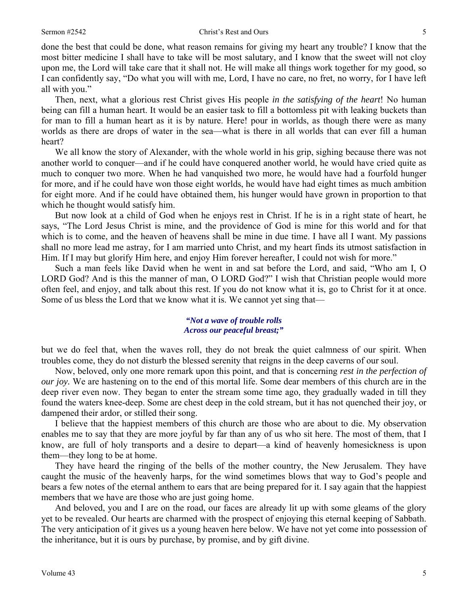done the best that could be done, what reason remains for giving my heart any trouble? I know that the most bitter medicine I shall have to take will be most salutary, and I know that the sweet will not cloy upon me, the Lord will take care that it shall not. He will make all things work together for my good, so I can confidently say, "Do what you will with me, Lord, I have no care, no fret, no worry, for I have left all with you."

 Then, next, what a glorious rest Christ gives His people *in the satisfying of the heart*! No human being can fill a human heart. It would be an easier task to fill a bottomless pit with leaking buckets than for man to fill a human heart as it is by nature. Here! pour in worlds, as though there were as many worlds as there are drops of water in the sea—what is there in all worlds that can ever fill a human heart?

We all know the story of Alexander, with the whole world in his grip, sighing because there was not another world to conquer—and if he could have conquered another world, he would have cried quite as much to conquer two more. When he had vanquished two more, he would have had a fourfold hunger for more, and if he could have won those eight worlds, he would have had eight times as much ambition for eight more. And if he could have obtained them, his hunger would have grown in proportion to that which he thought would satisfy him.

 But now look at a child of God when he enjoys rest in Christ. If he is in a right state of heart, he says, "The Lord Jesus Christ is mine, and the providence of God is mine for this world and for that which is to come, and the heaven of heavens shall be mine in due time. I have all I want. My passions shall no more lead me astray, for I am married unto Christ, and my heart finds its utmost satisfaction in Him. If I may but glorify Him here, and enjoy Him forever hereafter, I could not wish for more."

 Such a man feels like David when he went in and sat before the Lord, and said, "Who am I, O LORD God? And is this the manner of man, O LORD God?" I wish that Christian people would more often feel, and enjoy, and talk about this rest. If you do not know what it is, go to Christ for it at once. Some of us bless the Lord that we know what it is. We cannot yet sing that—

#### *"Not a wave of trouble rolls Across our peaceful breast;"*

but we do feel that, when the waves roll, they do not break the quiet calmness of our spirit. When troubles come, they do not disturb the blessed serenity that reigns in the deep caverns of our soul.

 Now, beloved, only one more remark upon this point, and that is concerning *rest in the perfection of our joy.* We are hastening on to the end of this mortal life. Some dear members of this church are in the deep river even now. They began to enter the stream some time ago, they gradually waded in till they found the waters knee-deep. Some are chest deep in the cold stream, but it has not quenched their joy, or dampened their ardor, or stilled their song.

 I believe that the happiest members of this church are those who are about to die. My observation enables me to say that they are more joyful by far than any of us who sit here. The most of them, that I know, are full of holy transports and a desire to depart—a kind of heavenly homesickness is upon them—they long to be at home.

 They have heard the ringing of the bells of the mother country, the New Jerusalem. They have caught the music of the heavenly harps, for the wind sometimes blows that way to God's people and bears a few notes of the eternal anthem to ears that are being prepared for it. I say again that the happiest members that we have are those who are just going home.

 And beloved, you and I are on the road, our faces are already lit up with some gleams of the glory yet to be revealed. Our hearts are charmed with the prospect of enjoying this eternal keeping of Sabbath. The very anticipation of it gives us a young heaven here below. We have not yet come into possession of the inheritance, but it is ours by purchase, by promise, and by gift divine.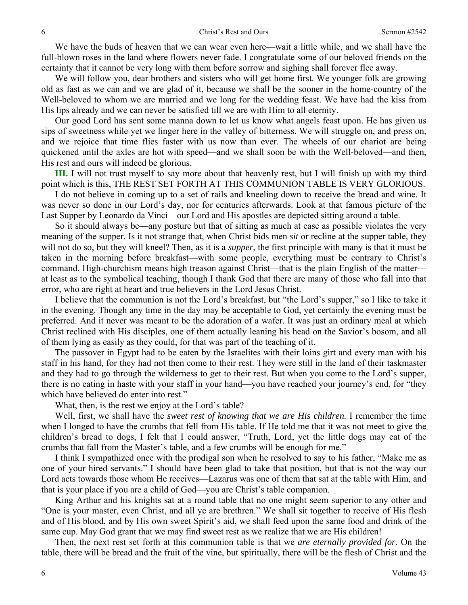We have the buds of heaven that we can wear even here—wait a little while, and we shall have the full-blown roses in the land where flowers never fade. I congratulate some of our beloved friends on the certainty that it cannot be very long with them before sorrow and sighing shall forever flee away.

 We will follow you, dear brothers and sisters who will get home first. We younger folk are growing old as fast as we can and we are glad of it, because we shall be the sooner in the home-country of the Well-beloved to whom we are married and we long for the wedding feast. We have had the kiss from His lips already and we can never be satisfied till we are with Him to all eternity.

 Our good Lord has sent some manna down to let us know what angels feast upon. He has given us sips of sweetness while yet we linger here in the valley of bitterness. We will struggle on, and press on, and we rejoice that time flies faster with us now than ever. The wheels of our chariot are being quickened until the axles are hot with speed—and we shall soon be with the Well-beloved—and then, His rest and ours will indeed be glorious.

**III.** I will not trust myself to say more about that heavenly rest, but I will finish up with my third point which is this, THE REST SET FORTH AT THIS COMMUNION TABLE IS VERY GLORIOUS.

 I do not believe in coming up to a set of rails and kneeling down to receive the bread and wine. It was never so done in our Lord's day, nor for centuries afterwards. Look at that famous picture of the Last Supper by Leonardo da Vinci—our Lord and His apostles are depicted sitting around a table.

 So it should always be—any posture but that of sitting as much at ease as possible violates the very meaning of the supper. Is it not strange that, when Christ bids men *sit* or recline at the supper table, they will not do so, but they will kneel? Then, as it is a *supper*, the first principle with many is that it must be taken in the morning before breakfast—with some people, everything must be contrary to Christ's command. High-churchism means high treason against Christ—that is the plain English of the matter at least as to the symbolical teaching, though I thank God that there are many of those who fall into that error, who are right at heart and true believers in the Lord Jesus Christ.

 I believe that the communion is not the Lord's breakfast, but "the Lord's supper," so I like to take it in the evening. Though any time in the day may be acceptable to God, yet certainly the evening must be preferred. And it never was meant to be the adoration of a wafer. It was just an ordinary meal at which Christ reclined with His disciples, one of them actually leaning his head on the Savior's bosom, and all of them lying as easily as they could, for that was part of the teaching of it.

 The passover in Egypt had to be eaten by the Israelites with their loins girt and every man with his staff in his hand, for they had not then come to their rest. They were still in the land of their taskmaster and they had to go through the wilderness to get to their rest. But when you come to the Lord's supper, there is no eating in haste with your staff in your hand—you have reached your journey's end, for "they which have believed do enter into rest."

What, then, is the rest we enjoy at the Lord's table?

 Well, first, we shall have the *sweet rest of knowing that we are His children.* I remember the time when I longed to have the crumbs that fell from His table. If He told me that it was not meet to give the children's bread to dogs, I felt that I could answer, "Truth, Lord, yet the little dogs may eat of the crumbs that fall from the Master's table, and a few crumbs will be enough for me."

 I think I sympathized once with the prodigal son when he resolved to say to his father, "Make me as one of your hired servants." I should have been glad to take that position, but that is not the way our Lord acts towards those whom He receives—Lazarus was one of them that sat at the table with Him, and that is your place if you are a child of God—you are Christ's table companion.

 King Arthur and his knights sat at a round table that no one might seem superior to any other and "One is your master, even Christ, and all ye are brethren." We shall sit together to receive of His flesh and of His blood, and by His own sweet Spirit's aid, we shall feed upon the same food and drink of the same cup. May God grant that we may find sweet rest as we realize that we are His children!

 Then, the next rest set forth at this communion table is that we *are eternally provided for.* On the table, there will be bread and the fruit of the vine, but spiritually, there will be the flesh of Christ and the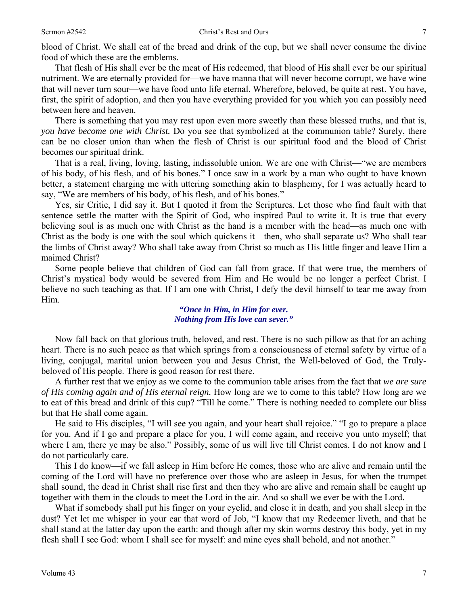blood of Christ. We shall eat of the bread and drink of the cup, but we shall never consume the divine food of which these are the emblems.

 That flesh of His shall ever be the meat of His redeemed, that blood of His shall ever be our spiritual nutriment. We are eternally provided for—we have manna that will never become corrupt, we have wine that will never turn sour—we have food unto life eternal. Wherefore, beloved, be quite at rest. You have, first, the spirit of adoption, and then you have everything provided for you which you can possibly need between here and heaven.

 There is something that you may rest upon even more sweetly than these blessed truths, and that is, *you have become one with Christ.* Do you see that symbolized at the communion table? Surely, there can be no closer union than when the flesh of Christ is our spiritual food and the blood of Christ becomes our spiritual drink.

 That is a real, living, loving, lasting, indissoluble union. We are one with Christ—"we are members of his body, of his flesh, and of his bones." I once saw in a work by a man who ought to have known better, a statement charging me with uttering something akin to blasphemy, for I was actually heard to say, "We are members of his body, of his flesh, and of his bones."

 Yes, sir Critic, I did say it. But I quoted it from the Scriptures. Let those who find fault with that sentence settle the matter with the Spirit of God, who inspired Paul to write it. It is true that every believing soul is as much one with Christ as the hand is a member with the head—as much one with Christ as the body is one with the soul which quickens it—then, who shall separate us? Who shall tear the limbs of Christ away? Who shall take away from Christ so much as His little finger and leave Him a maimed Christ?

 Some people believe that children of God can fall from grace. If that were true, the members of Christ's mystical body would be severed from Him and He would be no longer a perfect Christ. I believe no such teaching as that. If I am one with Christ, I defy the devil himself to tear me away from Him.

#### *"Once in Him, in Him for ever. Nothing from His love can sever."*

Now fall back on that glorious truth, beloved, and rest. There is no such pillow as that for an aching heart. There is no such peace as that which springs from a consciousness of eternal safety by virtue of a living, conjugal, marital union between you and Jesus Christ, the Well-beloved of God, the Trulybeloved of His people. There is good reason for rest there.

 A further rest that we enjoy as we come to the communion table arises from the fact that *we are sure of His coming again and of His eternal reign.* How long are we to come to this table? How long are we to eat of this bread and drink of this cup? "Till he come." There is nothing needed to complete our bliss but that He shall come again.

 He said to His disciples, "I will see you again, and your heart shall rejoice." "I go to prepare a place for you. And if I go and prepare a place for you, I will come again, and receive you unto myself; that where I am, there ye may be also." Possibly, some of us will live till Christ comes. I do not know and I do not particularly care.

 This I do know—if we fall asleep in Him before He comes, those who are alive and remain until the coming of the Lord will have no preference over those who are asleep in Jesus, for when the trumpet shall sound, the dead in Christ shall rise first and then they who are alive and remain shall be caught up together with them in the clouds to meet the Lord in the air. And so shall we ever be with the Lord.

 What if somebody shall put his finger on your eyelid, and close it in death, and you shall sleep in the dust? Yet let me whisper in your ear that word of Job, "I know that my Redeemer liveth, and that he shall stand at the latter day upon the earth: and though after my skin worms destroy this body, yet in my flesh shall I see God: whom I shall see for myself: and mine eyes shall behold, and not another."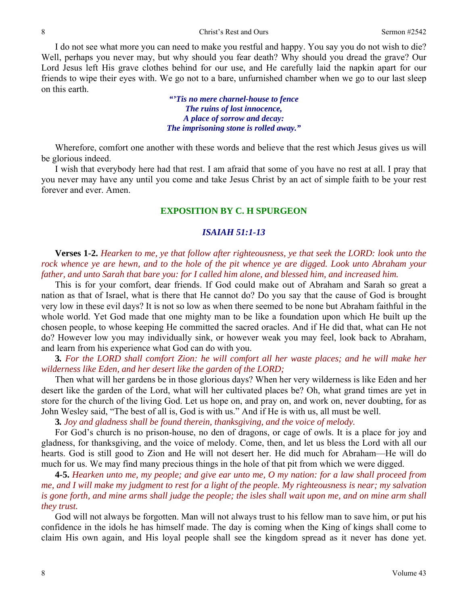I do not see what more you can need to make you restful and happy. You say you do not wish to die? Well, perhaps you never may, but why should you fear death? Why should you dread the grave? Our Lord Jesus left His grave clothes behind for our use, and He carefully laid the napkin apart for our friends to wipe their eyes with. We go not to a bare, unfurnished chamber when we go to our last sleep on this earth.

> *"'Tis no mere charnel-house to fence The ruins of lost innocence, A place of sorrow and decay: The imprisoning stone is rolled away."*

 Wherefore, comfort one another with these words and believe that the rest which Jesus gives us will be glorious indeed.

 I wish that everybody here had that rest. I am afraid that some of you have no rest at all. I pray that you never may have any until you come and take Jesus Christ by an act of simple faith to be your rest forever and ever. Amen.

## **EXPOSITION BY C. H SPURGEON**

## *ISAIAH 51:1-13*

**Verses 1-2.** *Hearken to me, ye that follow after righteousness, ye that seek the LORD: look unto the*  rock whence ye are hewn, and to the hole of the pit whence ye are digged. Look unto Abraham your *father, and unto Sarah that bare you: for I called him alone, and blessed him, and increased him.* 

This is for your comfort, dear friends. If God could make out of Abraham and Sarah so great a nation as that of Israel, what is there that He cannot do? Do you say that the cause of God is brought very low in these evil days? It is not so low as when there seemed to be none but Abraham faithful in the whole world. Yet God made that one mighty man to be like a foundation upon which He built up the chosen people, to whose keeping He committed the sacred oracles. And if He did that, what can He not do? However low you may individually sink, or however weak you may feel, look back to Abraham, and learn from his experience what God can do with you.

**3***. For the LORD shall comfort Zion: he will comfort all her waste places; and he will make her wilderness like Eden, and her desert like the garden of the LORD;* 

Then what will her gardens be in those glorious days? When her very wilderness is like Eden and her desert like the garden of the Lord, what will her cultivated places be? Oh, what grand times are yet in store for the church of the living God. Let us hope on, and pray on, and work on, never doubting, for as John Wesley said, "The best of all is, God is with us." And if He is with us, all must be well.

**3***. Joy and gladness shall be found therein, thanksgiving, and the voice of melody.* 

For God's church is no prison-house, no den of dragons, or cage of owls. It is a place for joy and gladness, for thanksgiving, and the voice of melody. Come, then, and let us bless the Lord with all our hearts. God is still good to Zion and He will not desert her. He did much for Abraham—He will do much for us. We may find many precious things in the hole of that pit from which we were digged.

**4-5.** *Hearken unto me, my people; and give ear unto me, O my nation: for a law shall proceed from me, and I will make my judgment to rest for a light of the people. My righteousness is near; my salvation is gone forth, and mine arms shall judge the people; the isles shall wait upon me, and on mine arm shall they trust.* 

God will not always be forgotten. Man will not always trust to his fellow man to save him, or put his confidence in the idols he has himself made. The day is coming when the King of kings shall come to claim His own again, and His loyal people shall see the kingdom spread as it never has done yet.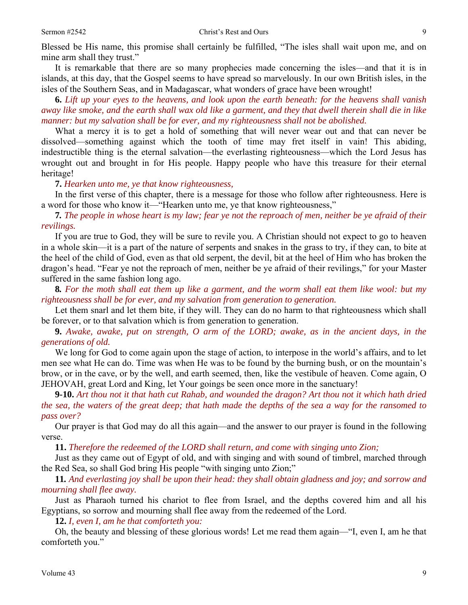Blessed be His name, this promise shall certainly be fulfilled, "The isles shall wait upon me, and on mine arm shall they trust."

 It is remarkable that there are so many prophecies made concerning the isles—and that it is in islands, at this day, that the Gospel seems to have spread so marvelously. In our own British isles, in the isles of the Southern Seas, and in Madagascar, what wonders of grace have been wrought!

**6.** *Lift up your eyes to the heavens, and look upon the earth beneath: for the heavens shall vanish away like smoke, and the earth shall wax old like a garment, and they that dwell therein shall die in like manner: but my salvation shall be for ever, and my righteousness shall not be abolished.* 

What a mercy it is to get a hold of something that will never wear out and that can never be dissolved—something against which the tooth of time may fret itself in vain! This abiding, indestructible thing is the eternal salvation—the everlasting righteousness—which the Lord Jesus has wrought out and brought in for His people. Happy people who have this treasure for their eternal heritage!

#### **7.** *Hearken unto me, ye that know righteousness,*

In the first verse of this chapter, there is a message for those who follow after righteousness. Here is a word for those who know it—"Hearken unto me, ye that know righteousness,"

**7***. The people in whose heart is my law; fear ye not the reproach of men, neither be ye afraid of their revilings.* 

If you are true to God, they will be sure to revile you. A Christian should not expect to go to heaven in a whole skin—it is a part of the nature of serpents and snakes in the grass to try, if they can, to bite at the heel of the child of God, even as that old serpent, the devil, bit at the heel of Him who has broken the dragon's head. "Fear ye not the reproach of men, neither be ye afraid of their revilings," for your Master suffered in the same fashion long ago.

**8***. For the moth shall eat them up like a garment, and the worm shall eat them like wool: but my righteousness shall be for ever, and my salvation from generation to generation.* 

Let them snarl and let them bite, if they will. They can do no harm to that righteousness which shall be forever, or to that salvation which is from generation to generation.

**9.** *Awake, awake, put on strength, O arm of the LORD; awake, as in the ancient days, in the generations of old.* 

We long for God to come again upon the stage of action, to interpose in the world's affairs, and to let men see what He can do. Time was when He was to be found by the burning bush, or on the mountain's brow, or in the cave, or by the well, and earth seemed, then, like the vestibule of heaven. Come again, O JEHOVAH, great Lord and King, let Your goings be seen once more in the sanctuary!

**9-10.** *Art thou not it that hath cut Rahab, and wounded the dragon? Art thou not it which hath dried the sea, the waters of the great deep; that hath made the depths of the sea a way for the ransomed to pass over?* 

Our prayer is that God may do all this again—and the answer to our prayer is found in the following verse.

**11.** *Therefore the redeemed of the LORD shall return, and come with singing unto Zion;* 

Just as they came out of Egypt of old, and with singing and with sound of timbrel, marched through the Red Sea, so shall God bring His people "with singing unto Zion;"

**11***. And everlasting joy shall be upon their head: they shall obtain gladness and joy; and sorrow and mourning shall flee away.* 

Just as Pharaoh turned his chariot to flee from Israel, and the depths covered him and all his Egyptians, so sorrow and mourning shall flee away from the redeemed of the Lord.

**12.** *I, even I, am he that comforteth you:* 

Oh, the beauty and blessing of these glorious words! Let me read them again—"I, even I, am he that comforteth you."